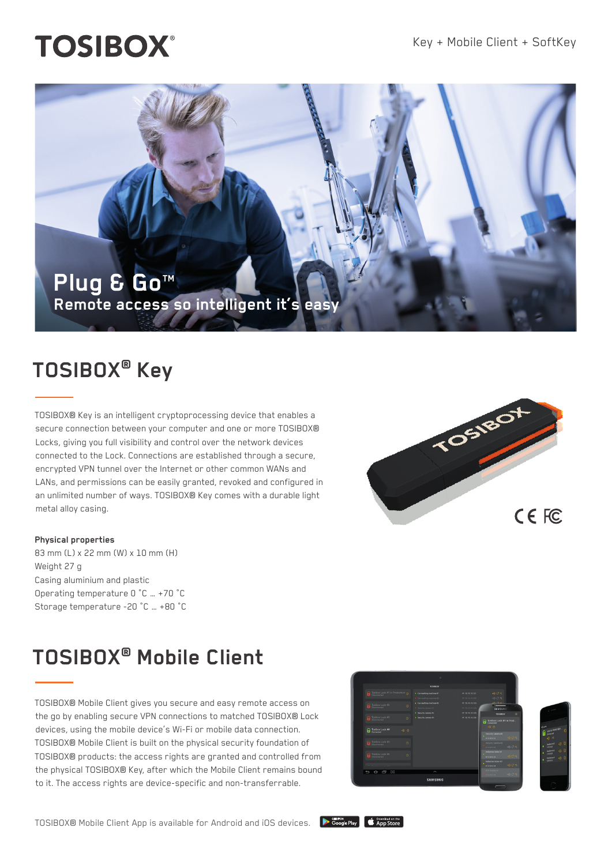## **TOSIBOX®**



### **TOSIBOX® Key**

TOSIBOX® Key is an intelligent cryptoprocessing device that enables a secure connection between your computer and one or more TOSIBOX® Locks, giving you full visibility and control over the network devices connected to the Lock. Connections are established through a secure, encrypted VPN tunnel over the Internet or other common WANs and LANs, and permissions can be easily granted, revoked and configured in an unlimited number of ways. TOSIBOX® Key comes with a durable light metal alloy casing.

#### **Physical properties**

83 mm (L) x 22 mm (W) x 10 mm (H) Weight 27 g Casing aluminium and plastic Operating temperature 0 °C … +70 °C Storage temperature -20 °C … +80 °C

# TOS180 CE FC

### **TOSIBOX® Mobile Client**

TOSIBOX® Mobile Client gives you secure and easy remote access on the go by enabling secure VPN connections to matched TOSIBOX® Lock devices, using the mobile device's Wi-Fi or mobile data connection. TOSIBOX® Mobile Client is built on the physical security foundation of TOSIBOX® products: the access rights are granted and controlled from the physical TOSIBOX® Key, after which the Mobile Client remains bound to it. The access rights are device-specific and non-transferrable.